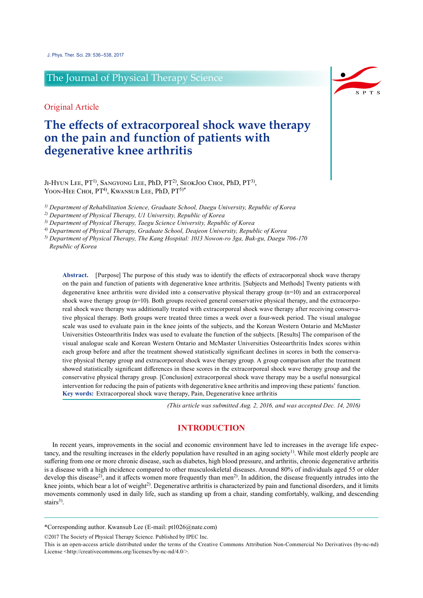# The Journal of Physical Therapy Science

Original Article

# **The effects of extracorporeal shock wave therapy on the pain and function of patients with degenerative knee arthritis**

JI-HYUN LEE, PT<sup>1)</sup>, SANGYONG LEE, PhD, PT<sup>2)</sup>, SEOKJOO CHOI, PhD, PT<sup>3)</sup>, YOON-HEE CHOI, PT<sup>4)</sup>, KWANSUB LEE, PhD, PT<sup>5)\*</sup>

*1) Department of Rehabilitation Science, Graduate School, Daegu University, Republic of Korea*

*2) Department of Physical Therapy, U1 University, Republic of Korea*

*3) Department of Physical Therapy, Taegu Science University, Republic of Korea*

*4) Department of Physical Therapy, Graduate School, Deajeon University, Republic of Korea*

*5) Department of Physical Therapy, The Kang Hospital: 1013 Nowon-ro 3ga, Buk-gu, Daegu 706-170 Republic of Korea*

**Abstract.** [Purpose] The purpose of this study was to identify the effects of extracorporeal shock wave therapy on the pain and function of patients with degenerative knee arthritis. [Subjects and Methods] Twenty patients with degenerative knee arthritis were divided into a conservative physical therapy group (n=10) and an extracorporeal shock wave therapy group (n=10). Both groups received general conservative physical therapy, and the extracorporeal shock wave therapy was additionally treated with extracorporeal shock wave therapy after receiving conservative physical therapy. Both groups were treated three times a week over a four-week period. The visual analogue scale was used to evaluate pain in the knee joints of the subjects, and the Korean Western Ontario and McMaster Universities Osteoarthritis Index was used to evaluate the function of the subjects. [Results] The comparison of the visual analogue scale and Korean Western Ontario and McMaster Universities Osteoarthritis Index scores within each group before and after the treatment showed statistically significant declines in scores in both the conservative physical therapy group and extracorporeal shock wave therapy group. A group comparison after the treatment showed statistically significant differences in these scores in the extracorporeal shock wave therapy group and the conservative physical therapy group. [Conclusion] extracorporeal shock wave therapy may be a useful nonsurgical intervention for reducing the pain of patients with degenerative knee arthritis and improving these patients' function. **Key words:** Extracorporeal shock wave therapy, Pain, Degenerative knee arthritis

*(This article was submitted Aug. 2, 2016, and was accepted Dec. 14, 2016)*

## **INTRODUCTION**

In recent years, improvements in the social and economic environment have led to increases in the average life expectancy, and the resulting increases in the elderly population have resulted in an aging society<sup>1</sup>). While most elderly people are suffering from one or more chronic disease, such as diabetes, high blood pressure, and arthritis, chronic degenerative arthritis is a disease with a high incidence compared to other musculoskeletal diseases. Around 80% of individuals aged 55 or older develop this disease<sup>2)</sup>, and it affects women more frequently than men<sup>2)</sup>. In addition, the disease frequently intrudes into the knee joints, which bear a lot of weight<sup>2)</sup>. Degenerative arthritis is characterized by pain and functional disorders, and it limits movements commonly used in daily life, such as standing up from a chair, standing comfortably, walking, and descending stairs<sup>3)</sup>.

\*Corresponding author. Kwansub Lee (E-mail: pt1026@nate.com)

©2017 The Society of Physical Therapy Science. Published by IPEC Inc.



This is an open-access article distributed under the terms of the Creative Commons Attribution Non-Commercial No Derivatives (by-nc-nd) License <http://creativecommons.org/licenses/by-nc-nd/4.0/>.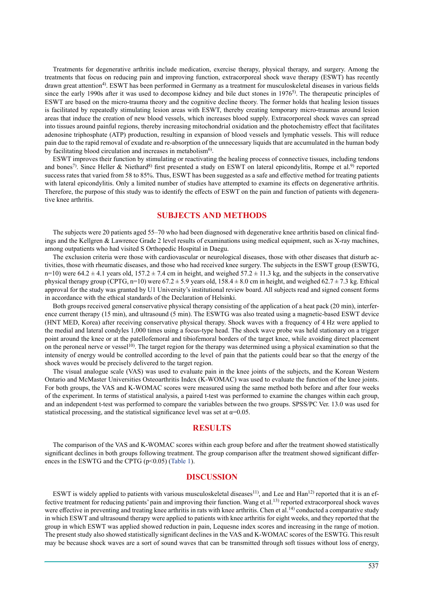Treatments for degenerative arthritis include medication, exercise therapy, physical therapy, and surgery. Among the treatments that focus on reducing pain and improving function, extracorporeal shock wave therapy (ESWT) has recently drawn great attention4) . ESWT has been performed in Germany as a treatment for musculoskeletal diseases in various fields since the early 1990s after it was used to decompose kidney and bile duct stones in 1976<sup>5</sup>). The therapeutic principles of ESWT are based on the micro-trauma theory and the cognitive decline theory. The former holds that healing lesion tissues is facilitated by repeatedly stimulating lesion areas with ESWT, thereby creating temporary micro-traumas around lesion areas that induce the creation of new blood vessels, which increases blood supply. Extracorporeal shock waves can spread into tissues around painful regions, thereby increasing mitochondrial oxidation and the photochemistry effect that facilitates adenosine triphosphate (ATP) production, resulting in expansion of blood vessels and lymphatic vessels. This will reduce pain due to the rapid removal of exudate and re-absorption of the unnecessary liquids that are accumulated in the human body by facilitating blood circulation and increases in metabolism<sup>6)</sup>.

ESWT improves their function by stimulating or reactivating the healing process of connective tissues, including tendons and bones<sup>7)</sup>. Since Heller & Niethard<sup>8)</sup> first presented a study on ESWT on lateral epicondylitis, Rompe et al.<sup>9)</sup> reported success rates that varied from 58 to 85%. Thus, ESWT has been suggested as a safe and effective method for treating patients with lateral epicondylitis. Only a limited number of studies have attempted to examine its effects on degenerative arthritis. Therefore, the purpose of this study was to identify the effects of ESWT on the pain and function of patients with degenerative knee arthritis.

### **SUBJECTS AND METHODS**

The subjects were 20 patients aged 55–70 who had been diagnosed with degenerative knee arthritis based on clinical findings and the Kellgren & Lawrence Grade 2 level results of examinations using medical equipment, such as X-ray machines, among outpatients who had visited S Orthopedic Hospital in Daegu.

The exclusion criteria were those with cardiovascular or neurological diseases, those with other diseases that disturb activities, those with rheumatic diseases, and those who had received knee surgery. The subjects in the ESWT group (ESWTG, n=10) were  $64.2 \pm 4.1$  years old,  $157.2 \pm 7.4$  cm in height, and weighed  $57.2 \pm 11.3$  kg, and the subjects in the conservative physical therapy group (CPTG,  $n=10$ ) were 67.2  $\pm$  5.9 years old, 158.4  $\pm$  8.0 cm in height, and weighed 62.7  $\pm$  7.3 kg. Ethical approval for the study was granted by U1 University's institutional review board. All subjects read and signed consent forms in accordance with the ethical standards of the Declaration of Helsinki.

Both groups received general conservative physical therapy consisting of the application of a heat pack (20 min), interference current therapy (15 min), and ultrasound (5 min). The ESWTG was also treated using a magnetic-based ESWT device (HNT MED, Korea) after receiving conservative physical therapy. Shock waves with a frequency of 4 Hz were applied to the medial and lateral condyles 1,000 times using a focus-type head. The shock wave probe was held stationary on a trigger point around the knee or at the patellofemoral and tibiofemoral borders of the target knee, while avoiding direct placement on the peroneal nerve or vessel<sup>10</sup>. The target region for the therapy was determined using a physical examination so that the intensity of energy would be controlled according to the level of pain that the patients could bear so that the energy of the shock waves would be precisely delivered to the target region.

The visual analogue scale (VAS) was used to evaluate pain in the knee joints of the subjects, and the Korean Western Ontario and McMaster Universities Osteoarthritis Index (K-WOMAC) was used to evaluate the function of the knee joints. For both groups, the VAS and K-WOMAC scores were measured using the same method both before and after four weeks of the experiment. In terms of statistical analysis, a paired t-test was performed to examine the changes within each group, and an independent t-test was performed to compare the variables between the two groups. SPSS/PC Ver. 13.0 was used for statistical processing, and the statistical significance level was set at  $\alpha$ =0.05.

#### **RESULTS**

The comparison of the VAS and K-WOMAC scores within each group before and after the treatment showed statistically significant declines in both groups following treatment. The group comparison after the treatment showed significant differences in the ESWTG and the CPTG (p<0.05) (Table 1).

### **DISCUSSION**

ESWT is widely applied to patients with various musculoskeletal diseases<sup>11)</sup>, and Lee and Han<sup>12)</sup> reported that it is an effective treatment for reducing patients' pain and improving their function. Wang et al.<sup>13</sup>) reported extracorporeal shock waves were effective in preventing and treating knee arthritis in rats with knee arthritis. Chen et al.<sup>14</sup> conducted a comparative study in which ESWT and ultrasound therapy were applied to patients with knee arthritis for eight weeks, and they reported that the group in which ESWT was applied showed reduction in pain, Lequesne index scores and increasing in the range of motion. The present study also showed statistically significant declines in the VAS and K-WOMAC scores of the ESWTG. This result may be because shock waves are a sort of sound waves that can be transmitted through soft tissues without loss of energy,